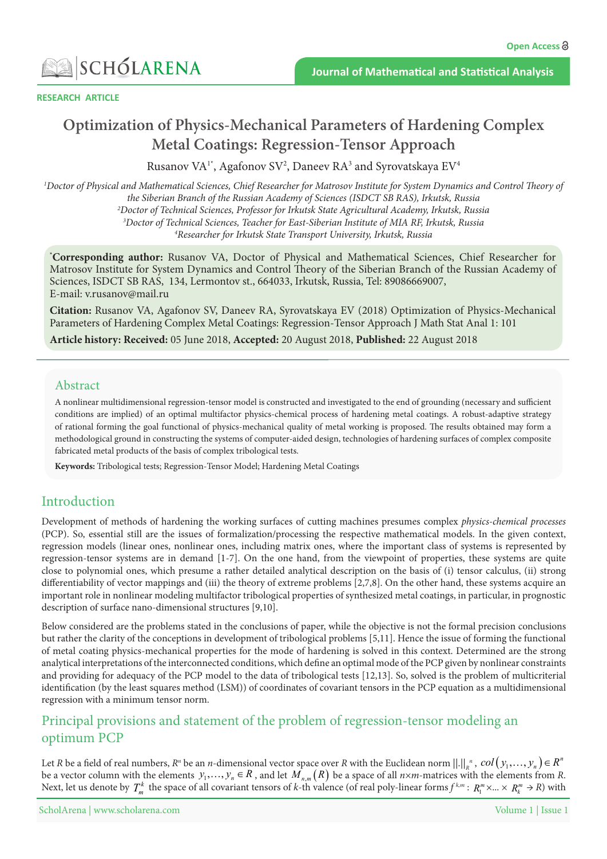

**RESEARCH ARTICLE** 

# **Complex Complex God is a Figure 2 of Hardening Complex Metal Coatings: Regression-Tensor Approach**

Rusanov VA<sup>1</sup>\*, Agafonov SV<sup>2</sup>, Daneev RA<sup>3</sup> and Syrovatskaya EV<sup>4</sup>

<sup>1</sup>Doctor of Physical and Mathematical Sciences, Chief Researcher for Matrosov Institute for System Dynamics and Control Theory of *the Siberian Branch of the Russian Academy of Sciences (ISDCT SB RAS), Irkutsk, Russia* <sup>2</sup>Doctor of Technical Sciences, Professor for Irkutsk State Agricultural Academy, Irkutsk, Russia *3* Doctor of Technical Sciences, Teacher for East-Siberian Institute of MIA RF, Irkutsk, Russia<br><sup>4</sup> Researcher for Irkutsk State Transport University Irkutsk, Russia <sup>4</sup> Researcher for Irkutsk State Transport University, Irkutsk, Russia

\*Corresponding author: Rusanov VA, Doctor of Physical and Mathematical Sciences, Chief Researcher for Matrosov Institute for System Dynamics and Control Theory of the Siberian Branch of the Russian Academy of Sciences, ISDCT SB RAS, 134, Lermontov st., 664033, Irkutsk, Russia, Tel: 89086669007, E-mail: v.rusanov@mail.ru

Gitation: Rusanov VA, Agafonov SV, Daneev RA, Syrovatskaya EV (2018) Optimization of Physics-Mechanical Parameters of Hardening Complex Metal Coatings: Regression-Tensor Approach J Math Stat Anal 1: 101

Article history: Received: 05 June 2018, Accepted: 20 August 2018, Published: 22 August 2018

### Abstract

A nonlinear multidimensional regression-tensor model is constructed and investigated to the end of grounding (necessary and sufficient conditions are implied) of an optimal multifactor physics-chemical process of hardening metal coatings. A robust-adaptive strategy of rational forming the goal functional of physics-mechanical quality of metal working is proposed. The results obtained may form a methodological ground in constructing the systems of computer-aided design, technologies of hardening surfaces of complex composite fabricated metal products of the basis of complex tribological tests.

Keywords: Tribological tests; Regression-Tensor Model; Hardening Metal Coatings

# Introduction

*Pevelopment of methods of hardening the working surfaces of cutting machines presumes complex physics-chemical processes* (PCP). So, essential still are the issues of formalization/processing the respective mathematical models. In the given context, repression models (linear ones, nonlinear ones, including matrix ones, where the important class of systems is represented by regression-tensor systems are in demand [1-7]. On the one hand, from the viewpoint of properties, these systems are quite close to polynomial ones, which presume a rather detailed analytical description on the basis of (i) tensor calculus, (ii) strong differentiability of vector mappings and (iii) the theory of extreme problems [2,7,8]. On the other hand, these systems acquire an important role in nonlinear modeling multifactor tribological properties of synthesized metal coatings, in particular, in prognostic description of surface nano-dimensional structures [9,10].

Below considered are the problems stated in the conclusions of paper, while the objective is not the formal precision conclusions but rather the clarity of the conceptions in development of tribological problems [5,11]. Hence the issue of forming the functional of metal coating physics-mechanical properties for the mode of hardening is solved in this context. Determined are the strong analytical interpretations of the interconnected conditions, which define an optimal mode of the PCP given by nonlinear constraints and providing for adequacy of the PCP model to the data of tribological tests [12,13]. So, solved is the problem of multicriterial identification (by the least squares method (LSM)) of coordinates of covariant tensors in the PCP equation as a multidimensional regression with a minimum tensor norm.

# Principal provisions and statement of the problem of regression-tensor modeling an optimum PCP

Let *R* be a field of real numbers,  $R^n$  be an *n*-dimensional vector space over *R* with the Euclidean norm  $||.||_R^n$ ,  $col(y_1,..., y_n) \in R^n$ be a vector column with the elements  $y_1,..., y_n \in R$ , and let  $\overline{M}_{n,m}(R)$  be a space of all  $n \times m$ -matrices with the elements from R. Next, let us denote by  $T_m^k$  the space of all covariant tensors of *k*-th valence (of real poly-linear forms  $f^{k,m}$ :  $R_1^m \times ... \times R_k^m \to R$ ) with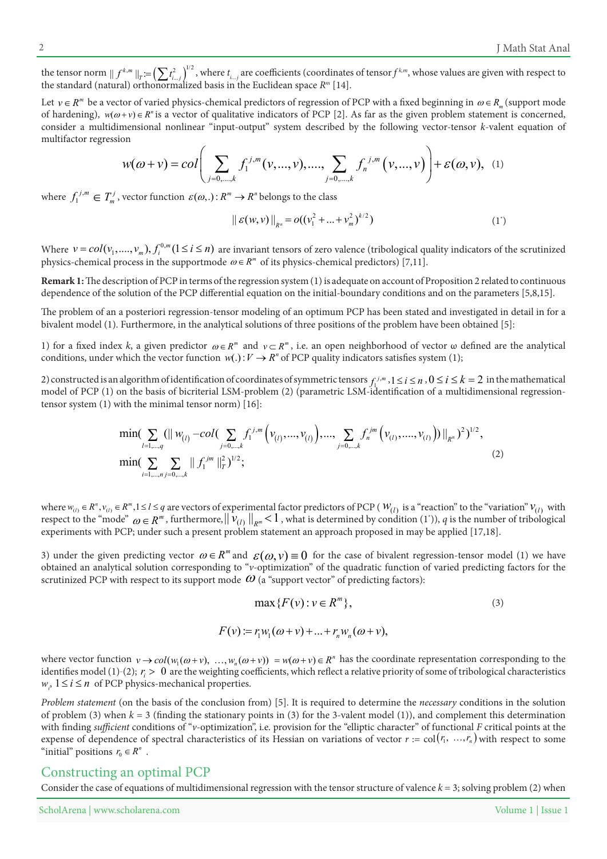the tensor norm  $|| f^{k,m} ||_T = \left( \sum t_{i...j}^2 \right)^{1/2}$ , where  $t_{i...j}$  are coefficients (coordinates of tensor  $f^{k,m}$ , whose values are given with respect to the standard (natural) orthonormalized basis in the Euclidean space

Let  $v \in R^m$  be a vector of varied physics-chemical predictors of regression of PCP with a fixed beginning in  $\omega \in R_m$  (support mode of hardening),  $w(\omega + v) \in R^n$  is a vector of qualitative indicators of PCP [2]. As far as the given problem statement is concerned, consider a multidimensional nonlinear "input-output" system described by the following vector-tensor k-valent equation of multifactor regression

$$
w(\omega + v) = col\left(\sum_{j=0,\dots,k} f_1^{j,m}(v,\dots,v), \dots, \sum_{j=0,\dots,k} f_n^{j,m}(v,\dots,v)\right) + \varepsilon(\omega,v), \quad (1)
$$

where  $f_1^{j,m} \in T_m^j$ , vector function  $\varepsilon(\omega,.)$ :  $R^m \to R^n$  belongs to the class

$$
\| \mathcal{E}(w, v) \|_{R^n} = o((v_1^2 + ... + v_m^2)^{k/2})
$$
 (1')

Where  $v = col(v_1, ..., v_m)$ ,  $f_i^{0,m}$  ( $1 \le i \le n$ ) are invariant tensors of zero valence (tribological quality indicators of the scrutinized physics-chemical process in the supportmode  $\omega \in R^m$  of its physics-chemical predictors) [7,11].

**Remark 1:** The description of PCP in terms of the regression system (1) is adequate on account of Proposition 2 related to continuous dependence of the solution of the PCP differential equation on the initial-boundary conditions and on the parameters [5,8,15].

The problem of an a posteriori regression-tensor modeling of an optimum PCP has been stated and investigated in detail in for a bivalent model (1). Furthermore, in the analytical solutions of three positions of the problem have been obtained [5]:

and  $\nu \in R^m$  and  $\nu \in R^m$ , *i.e.* an open neighborhood of vector  $\omega$  defined are the analytical conditions, under which the vector function  $w(.) : V \to R^n$  of PCP quality indicators satisfies system (1);

2) constructed is an algorithm of identification of coordinates of symmetric tensors  $f_i^{j,m}$ ,  $1 \le i \le n$ ,  $0 \le i \le k = 2$  in the mathematical model of PCP (1) on the basis of bicriterial LSM-problem (2) (parametric LSM-identification of a multidimensional regression-<br>tensor system (1) with the minimal tensor norm) [16]:

$$
\min\left(\sum_{l=1,\dots,q} (||w_{(l)}-col(\sum_{j=0,\dots,k}f_1^{j,m}\left(v_{(l)},\dots,v_{(l)}\right),\dots,\sum_{j=0,\dots,k}f_n^{jm}\left(v_{(l)},\dots,v_{(l)}\right))||_{R^n})^2\right)^{1/2},\newline\min\left(\sum_{i=1,\dots,n} \sum_{j=0,\dots,k} ||f_1^{jm}||_T^2\right)^{1/2};
$$
\n(2)

where  $w_{(l)} \in R^n$ ,  $v_{(l)} \in R^m$ ,  $1 \le l \le q$  are vectors of experimental factor predictors of PCP ( $W_{(l)}$  is a "reaction" to the "variation"  $V_{(l)}$  with respect to the "mode"  $\omega \in R^m$ , furthermore,  $\|\nu_{(l)}\|_{R^m} < 1$ , what is determined by condition (1)), q is the number of tribological experiments with PCP; under such a present problem statement an approach proposed in may be applied [17,18].

3) under the given predicting vector  $ω ∈ R<sup>m</sup>$  and  $ε(ω, ν) ≡ 0$  for the case of bivalent regression-tensor model (1) we have obtained an analytical solution corresponding to "v-optimization" of the quadratic function of varied predicting factors for the scrutinized PCP with respect to its support mode  $\omega$  (a "support vector" of predicting factors):

$$
\max\{F(v): v \in R^m\},\tag{3}
$$
  

$$
F(v) := r_1 w_1(\omega + v) + ... + r_n w_n(\omega + v),
$$

where vector function  $v \to col(w_1(\omega + v), ..., w_n(\omega + v)) = w(\omega + v) \in R^n$  has the coordinate representation corresponding to the identifies model (1)-(2);  $r_i > 0$  are the weighting coefficients, which reflect a relative priority of some of tribological characteristics  $w_i$ ,  $1 \le i \le n$  of PCP physics-mechanical properties.

Problem statement (on the basis of the conclusion from) [5]. It is required to determine the necessary conditions in the solution of problem (3) when  $k = 3$  (finding the stationary points in (3) for the 3-valent model (1)), and complement this determination with finding *sufficient* conditions of "v-optimization", i.e. provision for the "elliptic character" of functional *F* critical points at the expense of dependence of spectral characteristics of its Hessian on variations of vector  $r := col(r_1, ..., r_n)$  with respect to some "initial" positions  $r_0 \in R^n$ .

#### Constructing an optimal PCP

Consider the case of equations of multidimensional regression with the tensor structure of valence  $k = 3$ ; solving problem (2) when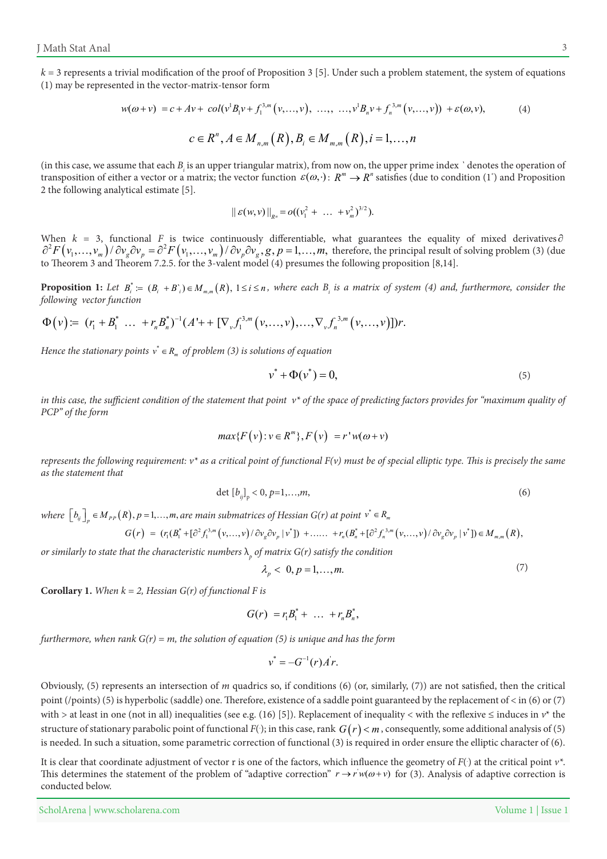$k = 3$  represents a trivial modification of the proof of Proposition 3 [5]. Under such a problem statement, the system of equations  $f(1)$  may be represented in the vector-matrix-tensor form

$$
w(\omega + v) = c + Av + col(v^{1}B_{1}v + f_{1}^{3,m}(v, ..., v), ..., ..., v^{1}B_{n}v + f_{n}^{3,m}(v, ..., v)) + \varepsilon(\omega, v),
$$
  
\n
$$
c \in R^{n}, A \in M_{n,m}(R), B_{i} \in M_{m,m}(R), i = 1, ..., n
$$
\n(4)

(in this case, we assume that each  $B_i$  is an upper triangular matrix), from now on, the upper prime index  $\cdot$  denotes the operation of transposition of either a vector or a matrix; the vector function  $\varepsilon(\omega,\cdot)$ :  $R^m \to R^n$  satisfies (due to condition (1<sup>\*</sup>) and Proposition 2 the following analytical estimate  $[5]$ .

$$
\| \mathcal{E}(w,v) \|_{R^n} = o((v_1^2 + \ldots + v_m^2)^{3/2}).
$$

When  $k = 3$ , functional F is twice continuously differentiable, what guarantees the equality of mixed derivatives  $\partial$  $\partial^2 F(v_1,...,v_m) / \partial v_g \partial v_p = \partial^2 F(v_1,...,v_m) / \partial v_p \partial v_g$ ,  $g, p = 1,...,m$ , therefore, the principal result of solving problem (3) (due to Theorem 3 and Theorem 7.2.5. for the 3-valent model (4) presumes the following proposition [8,14].

**Proposition 1:** Let  $B_i^* \coloneqq (B_i + B_i) \in M_{m,m}(R)$ ,  $1 \le i \le n$ , where each  $B_i$  is a matrix of system (4) and, furthermore, consider the *following* vector function

$$
\Phi(v) = (r_1 + B_1^* \dots + r_n B_n^*)^{-1} (A^1 + [\nabla_v f_1^{3,m}(v, \dots, v), \dots, \nabla_v f_n^{3,m}(v, \dots, v)]) r.
$$

*Hence the stationary points*  $v^* \in R_m$  *of problem (3) is solutions of equation* 

$$
v^* + \Phi(v^*) = 0,\t\t(5)
$$

in this case, the sufficient condition of the statement that point  $v^*$  of the space of predicting factors provides for "maximum quality of *PCP*" of the form

$$
max{F(v): v \in R^m}, F(v) = r'w(\omega + v)
$$

*represents the following requirement:*  $v^*$  as a critical point of functional  $F(v)$  must be of special elliptic type. This is precisely the same  $as$  the statement that

$$
\det [b_{ij}]_p < 0, p=1,...,m,
$$
\n(6)

 $W$  *here*  $\left[b_{ij}\right]_p \in M_{PP}(R), p = 1, \ldots, m$ , are main submatrices of Hessian G(r) at point  $v^* \in R_m$ 

$$
G(r) = (r_1(B_1^* + [\partial^2 f_1^{3,m}(v, \ldots, v)/\partial v_g \partial v_p | v^*]) + \ldots + r_n(B_n^* + [\partial^2 f_n^{3,m}(v, \ldots, v)/\partial v_g \partial v_p | v^*]) \in M_{m,m}(R),
$$

or similarly to state that the characteristic numbers  $\lambda_{_{P}}$  of matrix  $G(r)$  satisfy the condition

$$
\lambda_p < 0, p = 1, \dots, m. \tag{7}
$$

**Corollary 1.** When  $k = 2$ , Hessian  $G(r)$  of functional F is

$$
G(r) = r_1 B_1^* + \ldots + r_n B_n^*,
$$

*furthermore, when rank*  $G(r) = m$ , the solution of equation (5) is unique and has the form

$$
v^* = -G^{-1}(r)Ar.
$$

Obviously, (5) represents an intersection of m quadrics so, if conditions (6) (or, similarly, (7)) are not satisfied, then the critical point (/points) (5) is hyperbolic (saddle) one. Therefore, existence of a saddle point guaranteed by the replacement of  $\lt$  in (6) or (7) with > at least in one (not in all) inequalities (see e.g. (16) [5]). Replacement of inequality < with the reflexive  $\leq$  induces in  $v^*$  the structure of stationary parabolic point of functional  $F(\cdot)$ ; in this case, rank  $G(r) < m$  , consequently, some additional analysis of (5) is needed. In such a situation, some parametric correction of functional  $(3)$  is required in order ensure the elliptic character of  $(6)$ .

It is clear that coordinate adjustment of vector r is one of the factors, which influence the geometry of  $F()$  at the critical point  $v^*$ . This determines the statement of the problem of "adaptive correction"  $r \rightarrow r'w(\omega + v)$  for (3). Analysis of adaptive correction is conducted below.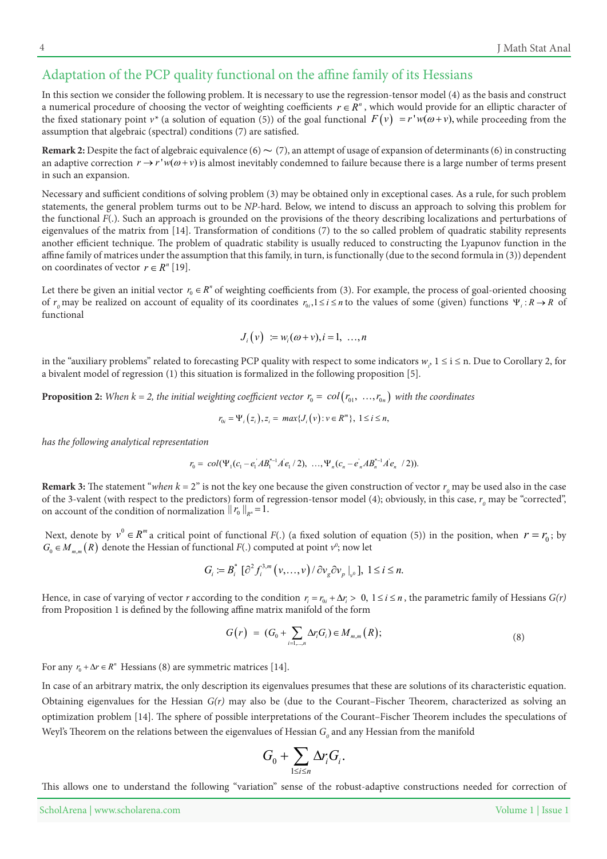## Adaptation of the PCP quality functional on the affine family of its Hessians

In this section we consider the following problem. It is necessary to use the regression-tensor model (4) as the basis and construct a numerical procedure of choosing the vector of weighting coefficients  $r \in R^n$ , which would provide for an elliptic character of the fixed stationary point  $v^*$  (a solution of equation (5)) of the goal functional  $F(v) = r'w(\omega + v)$ , while proceeding from the assumption that algebraic (spectral) conditions (7) are satisfied.

**Remark 2:** Despite the fact of algebraic equivalence (6)  $\sim$  (7), an attempt of usage of expansion of determinants (6) in constructing an adaptive correction  $r \to r'w(\omega + v)$  is almost inevitably condemned to failure because there is a large number of terms present in such an expansion.

Necessary and sufficient conditions of solving problem (3) may be obtained only in exceptional cases. As a rule, for such problem statements, the general problem turms out to be *NP*-hard. Below, we intend to discuss an approach to solving this problem for the functional F(.). Such an approach is grounded on the provisions of the theory describing localizations and perturbations of eigenvalues of the matrix from [14]. Transformation of conditions (7) to the so called problem of quadratic stability represents another efficient technique. The problem of quadratic stability is usually reduced to constructing the Lyapunov function in the affine family of matrices under the assumption that this family, in turn, is functionally (due to the second formula in  $(3)$ ) dependent on coordinates of vector  $r \in R^n$  [19].

Let there be given an initial vector  $r_0 \in R^n$  of weighting coefficients from (3). For example, the process of goal-oriented choosing of  $r_0$  may be realized on account of equality of its coordinates  $r_0, 1 \le i \le n$  to the values of some (given) functions  $\Psi_i : R \to R$  of functional

$$
J_i(v) := w_i(\omega + v), i = 1, \ldots, n
$$

in the "auxiliary problems" related to forecasting PCP quality with respect to some indicators  $w_p$ ,  $1 \le i \le n$ . Due to Corollary 2, for a bivalent model of regression  $(1)$  this situation is formalized in the following proposition [5].

**Proposition 2:** When  $k = 2$ , the initial weighting coefficient vector  $r_0 = col(r_0, ..., r_{0n})$  with the coordinates

$$
r_{0i} = \Psi_i(z_i), z_i = \max\{J_i(v): v \in R^m\}, 1 \le i \le n,
$$

*has the following analytical representation* 

$$
r_0 = col(\Psi_1(c_1 - e_1)AB_1^{*-1}A'e_1/2), \ldots, \Psi_n(c_n - e_n)AB_n^{*-1}A'e_n/2).
$$

**Remark 3:** The statement "*when*  $k = 2$ " is not the key one because the given construction of vector  $r<sub>o</sub>$  may be used also in the case of the 3-valent (with respect to the predictors) form of regression-tensor model (4); obviously, in this case,  $r_o$  may be "corrected", on account of the condition of normalization  $|| r_0 ||_{R^n} = 1$ .

Next, denote by  $v^0 \in R^m$  a critical point of functional  $F(.)$  (a fixed solution of equation (5)) in the position, when  $r = r_0$ ; by  $G_0 \in M_{m,m}(R)$  denote the Hessian of functional  $F(.)$  computed at point  $v^o$ ; now let

$$
G_i := B_i^* \left[ \partial^2 f_i^{3,m} \left( v, \ldots, v \right) / \partial v_g \partial v_p \big|_{v^0} \right], \ 1 \le i \le n.
$$

*Hence, in case of varying of vector r according to the condition*  $r_i = r_{0i} + \Delta r_i > 0$ *,*  $1 \le i \le n$ *, the parametric family of Hessians*  $G(r)$ from Proposition 1 is defined by the following affine matrix manifold of the form

$$
G(r) = (G_0 + \sum_{i=1,\dots,n} \Delta r_i G_i) \in M_{m,m}(R); \tag{8}
$$

For any  $r_0 + \Delta r \in R^n$  Hessians (8) are symmetric matrices [14].

In case of an arbitrary matrix, the only description its eigenvalues presumes that these are solutions of its characteristic equation. Obtaining eigenvalues for the Hessian  $G(r)$  may also be (due to the Courant–Fischer–Theorem, characterized as solving an optimization problem [14]. The sphere of possible interpretations of the Courant-Fischer Theorem includes the speculations of Weyl's Theorem on the relations between the eigenvalues of Hessian  $G_{_0}$  and any Hessian from the manifold

$$
G_0+\sum_{1\leq i\leq n}\Delta r_iG_i.
$$

This allows one to understand the following "variation" sense of the robust-adaptive constructions needed for correction of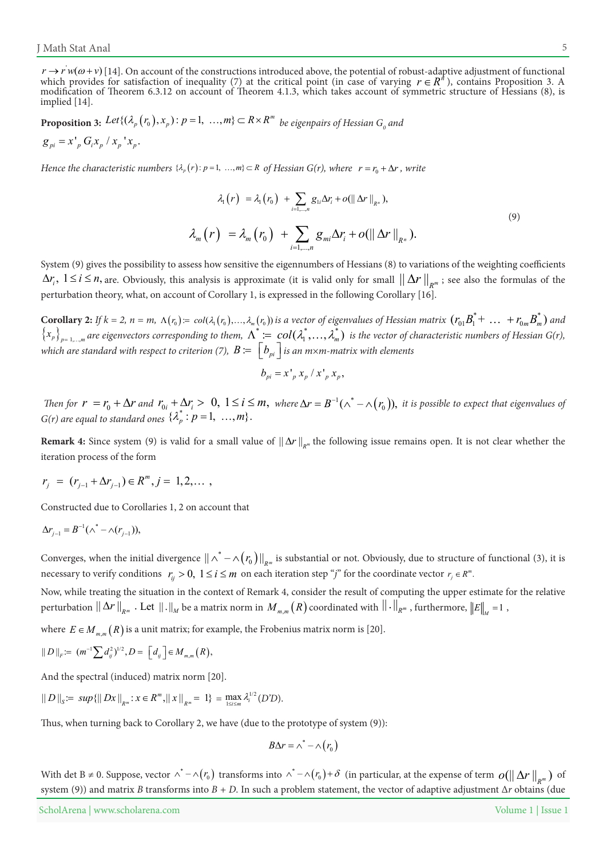$r \to r'w(\omega+\nu)$  [14]. On account of the constructions introduced above, the potential of robust-adaptive adjustment of functional which provides for satisfaction of inequality (7) at the critical point (in case of varying  $r \in R^{\pi}$ ), contains Proposition 3. A modification of Theorem 6.3.12 on account of Theorem 4.1.3, which takes account of symmetric structure of Hessians (8), is implied [14].

**Proposition 3:** Let  $\{(\lambda_p(r_0), x_p) : p = 1, ..., m\} \subset R \times R^m$  be eigenpairs of Hessian  $G_o$  and  $g_{pi} = x'_{p} G_{i} x_{p} / x_{p} ' x_{p}$ .

*Hence the characteristic numbers*  $\{\lambda_p(r): p=1, ..., m\} \subset R$  of Hessian  $G(r)$ , where  $r = r_0 + \Delta r$ , write

$$
\lambda_1(r) = \lambda_1(r_0) + \sum_{i=1,\dots,n} g_{1i} \Delta r_i + o(||\Delta r||_{R^n}),
$$
\n
$$
\lambda_m(r) = \lambda_m(r_0) + \sum_{i=1,\dots,n} g_{mi} \Delta r_i + o(||\Delta r||_{R^n}).
$$
\n(9)

System (9) gives the possibility to assess how sensitive the eigennumbers of Hessians (8) to variations of the weighting coefficients  $\Delta r_i$ ,  $1 \le i \le n$ , are. Obviously, this analysis is approximate (it is valid only for small  $|| \Delta r ||_{R^m}$ ; see also the formulas of the perturbation theory, what, on account of Corollary 1, is expressed in the following Corollary [16].

**Corollary 2:** If  $k = 2$ ,  $n = m$ ,  $\Lambda(r_0) = col(\lambda_1(r_0), ..., \lambda_m(r_0))$  is a vector of eigenvalues of Hessian matrix  $(r_{01}B_1^* + ... + r_{0m}B_m^*)$  and  $\{x_p\}_{p=1,...,m}$  are eigenvectors corresponding to them,  $\Lambda^*:=\; col(\lambda_1^*,..., \lambda_m^*)$  is the vector of characteristic numbers of Hessian G(r), *which are standard with respect to criterion (7),*  $\,B\coloneqq\,\left\lfloor b_{\scriptscriptstyle pi}\,\right\rfloor$  *is an m* $\times$ *m-matrix with elements* 

$$
b_{pi} = x'_{p} x_{p} / x'_{p} x_{p},
$$

Then for  $r = r_0 + \Delta r$  and  $r_{0i} + \Delta r_i > 0$ ,  $1 \le i \le m$ , where  $\Delta r = B^{-1}(\wedge^* - \wedge (r_0))$ , it is possible to expect that eigenvalues of  $G(r)$  are equal to standard ones  $\{\lambda_p^* : p = 1, ..., m\}$ .

**Remark 4:** Since system (9) is valid for a small value of  $\|\Delta r\|_{R^m}$  the following issue remains open. It is not clear whether the iteration process of the form

$$
r_j = (r_{j-1} + \Delta r_{j-1}) \in R^m, j = 1, 2, \dots
$$

Constructed due to Corollaries 1, 2 on account that

$$
\Delta r_{j-1} = B^{-1}(\wedge^* - \wedge (r_{j-1})),
$$

Converges, when the initial divergence  $\|\wedge^* - \wedge (r_0)\|_{R^m}$  is substantial or not. Obviously, due to structure of functional (3), it is *necessary to verify conditions*  $r_{ij} > 0$ *,*  $1 \le i \le m$  *on each iteration step "j" for the coordinate vector*  $r_j \in R^m$ *.* 

Now, while treating the situation in the context of Remark 4, consider the result of computing the upper estimate for the relative perturbation  $\|\Delta r\|_{_{R^m}}$  . Let  $\|.\|_{_M}$  be a matrix norm in  $M_{_{m,m}}(R)$  coordinated with  $\|.\|_{_{R^m}}$  , furthermore,  $\|E\|_{_M}$  = 1 ,

where  $E \in M_{m,m}(R)$  is a unit matrix; for example, the Frobenius matrix norm is [20].

$$
||D||_F = (m^{-1} \sum d_{ij}^2)^{1/2}, D = [d_{ij}] \in M_{m,m}(R),
$$

And the spectral (induced) matrix norm  $[20]$ .

$$
\|D\|_{S} := \sup\{\|Dx\|_{R^m}: x \in R^m, \|x\|_{R^m} = 1\} = \max_{1 \le i \le m} \lambda_i^{1/2}(D'D).
$$

Thus, when turning back to Corollary 2, we have (due to the prototype of system (9)):

$$
B\Delta r = \wedge^* - \wedge (r_0)
$$

With det B ≠ 0. Suppose, vector  $\wedge^* - \wedge (r_0)$  transforms into  $\wedge^* - \wedge (r_0) + \delta$  (in particular, at the expense of term  $o(||\Delta r||_{R^m})$  of system (9)) and matrix *B* transforms into  $B + D$ . In such a problem statement, the vector of adaptive adjustment  $\Delta r$  obtains (due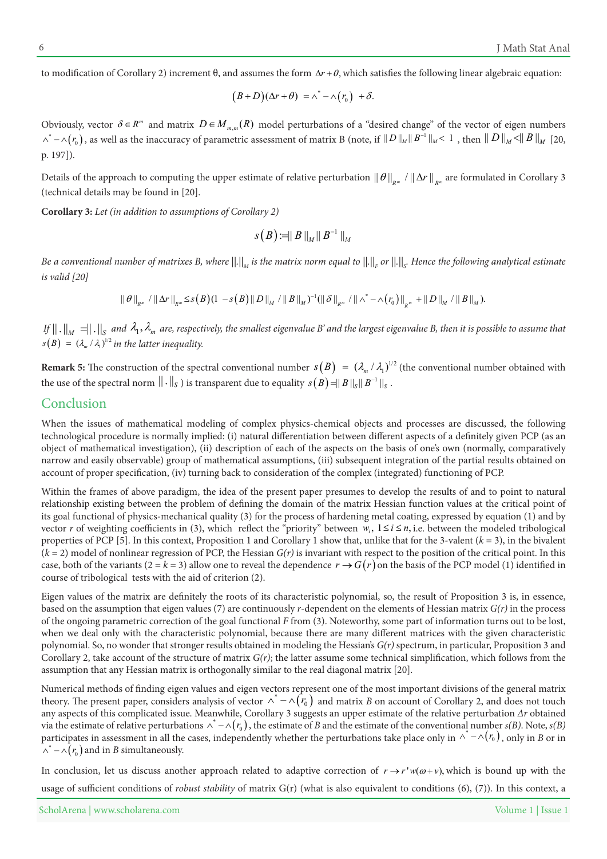to modification of Corollary 2) increment  $θ$ , and assumes the form  $Δr + θ$ , which satisfies the following linear algebraic equation:

$$
(B+D)(\Delta r+\theta) = \wedge^* - \wedge (r_0) + \delta.
$$

Obviously, vector  $\delta \in R^m$  and matrix  $D \in M_{m,m}(R)$  model perturbations of a "desired change" of the vector of eigen numbers  $\wedge^* - \wedge (r_0)$  , as well as the inaccuracy of parametric assessment of matrix B (note, if  $||D||_M ||B^{-1}||_M < 1$  , then  $||D||_M < ||B||_M$  [20, p. 197]).

Details of the approach to computing the upper estimate of relative perturbation  $\|\theta\|_{_{R^m}}$  /  $\|\Delta r\|_{_{R^m}}$  are formulated in Corollary 3 (technical details may be found in [20]

**Corollary 3:** Let (in addition to assumptions of Corollary 2)

$$
s\big(B\big)\!\coloneqq\!\parallel B\!\parallel_M\!\parallel B^{-1}\!\parallel_M
$$

Be a conventional number of matrixes B, where  $\|.\|_{_M}$  is the matrix norm equal to  $\|.\|_{_F}$  or  $\|.\|_{_S}$ . Hence the following analytical estimate *[20] valid is*

$$
\|\theta\|_{R^m} \|\Delta r\|_{R^m} \leq s\big(B\big)(1-s\big(B\big)\|D\|_M\|\|B\|_M\big)^{-1}(\|\delta\|_{R^m}\|\|N^*-\wedge (r_0)\|_{R^m}+\|D\|_M\|\|B\|_M).
$$

*If*  $|| \, . \, ||_M = || \, . \, ||_S$  and  $\lambda_1, \lambda_m$  are, respectively, the smallest eigenvalue B' and the largest eigenvalue B, then it is possible to assume that  $s(B) = (\lambda_m / \lambda_1)^{1/2}$  in the latter inequality.

**Remark 5:** The construction of the spectral conventional number  $s(B) = (\lambda_m / \lambda_1)^{1/2}$  (the conventional number obtained with the use of the spectral norm  $\|.\|_S$  ) is transparent due to equality  $s(B)$  =||  $B$  ||  $_s$  ||  $B^{-1}$  || $_s$  .

#### Conclusion

When the issues of mathematical modeling of complex physics-chemical objects and processes are discussed, the following technological procedure is normally implied: (i) natural differentiation between different aspects of a definitely given PCP (as an object of mathematical investigation), (ii) description of each of the aspects on the basis of one's own (normally, comparatively narrow and easily observable) group of mathematical assumptions, (iii) subsequent integration of the partial results obtained on account of proper specification, (iv) turning back to consideration of the complex (integrated) functioning of PCP.

Within the frames of above paradigm, the idea of the present paper presumes to develop the results of and to point to natural relationship existing between the problem of defining the domain of the matrix Hessian function values at the critical point of its goal functional of physics-mechanical quality (3) for the process of hardening metal coating, expressed by equation (1) and by vector r of weighting coefficients in (3), which reflect the "priority" between  $w_i$ ,  $1 \le i \le n$ , *i.e.* between the modeled tribological properties of PCP [5]. In this context, Proposition 1 and Corollary 1 show that, unlike that for the 3-valent  $(k = 3)$ , in the bivalent  $(k = 2)$  model of nonlinear regression of PCP, the Hessian  $G(r)$  is invariant with respect to the position of the critical point. In this case, both of the variants ( $2 = k = 3$ ) allow one to reveal the dependence  $r \rightarrow G(r)$  on the basis of the PCP model (1) identified in course of tribological tests with the aid of criterion (2).

Eigen values of the matrix are definitely the roots of its characteristic polynomial, so, the result of Proposition 3 is, in essence, based on the assumption that eigen values (7) are continuously r-dependent on the elements of Hessian matrix  $G(r)$  in the process of the ongoing parametric correction of the goal functional F from (3). Noteworthy, some part of information turns out to be lost, when we deal only with the characteristic polynomial, because there are many different matrices with the given characteristic polynomial. So, no wonder that stronger results obtained in modeling the Hessian's  $G(r)$  spectrum, in particular, Proposition 3 and Corollary 2, take account of the structure of matrix  $G(r)$ ; the latter assume some technical simplification, which follows from the assumption that any Hessian matrix is orthogonally similar to the real diagonal matrix [20].

Numerical methods of finding eigen values and eigen vectors represent one of the most important divisions of the general matrix theory. The present paper, considers analysis of vector  $\wedge^* - \wedge (r_0)$  and matrix B on account of Corollary 2, and does not touch any aspects of this complicated issue. Meanwhile, Corollary 3 suggests an upper estimate of the relative perturbation ∆r obtained via the estimate of relative perturbations  $\wedge^*-\wedge(r_0)$  , the estimate of  $B$  and the estimate of the conventional number  $s(B)$ . Note,  $s(B)$ participates in assessment in all the cases, independently whether the perturbations take place only in  $\wedge^*$   $\wedge$  ( $r_0$ ), only in B or in  $\wedge^* - \wedge (r_{\scriptscriptstyle 0}^*)$  and in *B* simultaneously.

In conclusion, let us discuss another approach related to adaptive correction of  $r \to r'w(\omega + v)$ , which is bound up with the usage of sufficient conditions of *robust stability* of matrix G(r) (what is also equivalent to conditions (6), (7)). In this context, a